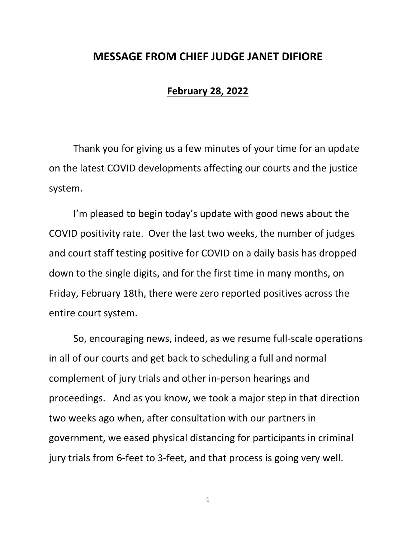## **MESSAGE FROM CHIEF JUDGE JANET DIFIORE**

## **February 28, 2022**

Thank you for giving us a few minutes of your time for an update on the latest COVID developments affecting our courts and the justice system.

I'm pleased to begin today's update with good news about the COVID positivity rate. Over the last two weeks, the number of judges and court staff testing positive for COVID on a daily basis has dropped down to the single digits, and for the first time in many months, on Friday, February 18th, there were zero reported positives across the entire court system.

So, encouraging news, indeed, as we resume full-scale operations in all of our courts and get back to scheduling a full and normal complement of jury trials and other in-person hearings and proceedings. And as you know, we took a major step in that direction two weeks ago when, after consultation with our partners in government, we eased physical distancing for participants in criminal jury trials from 6-feet to 3-feet, and that process is going very well.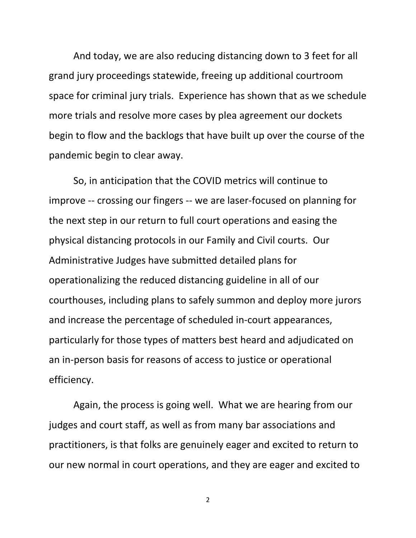And today, we are also reducing distancing down to 3 feet for all grand jury proceedings statewide, freeing up additional courtroom space for criminal jury trials. Experience has shown that as we schedule more trials and resolve more cases by plea agreement our dockets begin to flow and the backlogs that have built up over the course of the pandemic begin to clear away.

So, in anticipation that the COVID metrics will continue to improve -- crossing our fingers -- we are laser-focused on planning for the next step in our return to full court operations and easing the physical distancing protocols in our Family and Civil courts. Our Administrative Judges have submitted detailed plans for operationalizing the reduced distancing guideline in all of our courthouses, including plans to safely summon and deploy more jurors and increase the percentage of scheduled in-court appearances, particularly for those types of matters best heard and adjudicated on an in-person basis for reasons of access to justice or operational efficiency.

Again, the process is going well. What we are hearing from our judges and court staff, as well as from many bar associations and practitioners, is that folks are genuinely eager and excited to return to our new normal in court operations, and they are eager and excited to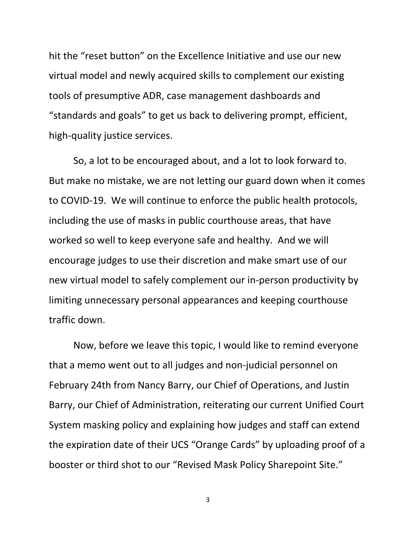hit the "reset button" on the Excellence Initiative and use our new virtual model and newly acquired skills to complement our existing tools of presumptive ADR, case management dashboards and "standards and goals" to get us back to delivering prompt, efficient, high-quality justice services.

So, a lot to be encouraged about, and a lot to look forward to. But make no mistake, we are not letting our guard down when it comes to COVID-19. We will continue to enforce the public health protocols, including the use of masks in public courthouse areas, that have worked so well to keep everyone safe and healthy. And we will encourage judges to use their discretion and make smart use of our new virtual model to safely complement our in-person productivity by limiting unnecessary personal appearances and keeping courthouse traffic down.

Now, before we leave this topic, I would like to remind everyone that a memo went out to all judges and non-judicial personnel on February 24th from Nancy Barry, our Chief of Operations, and Justin Barry, our Chief of Administration, reiterating our current Unified Court System masking policy and explaining how judges and staff can extend the expiration date of their UCS "Orange Cards" by uploading proof of a booster or third shot to our "Revised Mask Policy Sharepoint Site."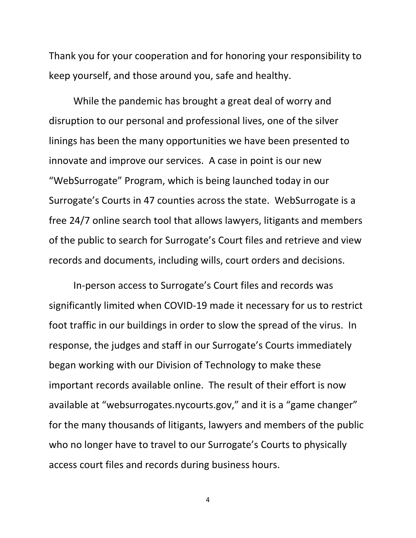Thank you for your cooperation and for honoring your responsibility to keep yourself, and those around you, safe and healthy.

While the pandemic has brought a great deal of worry and disruption to our personal and professional lives, one of the silver linings has been the many opportunities we have been presented to innovate and improve our services. A case in point is our new "WebSurrogate" Program, which is being launched today in our Surrogate's Courts in 47 counties across the state. WebSurrogate is a free 24/7 online search tool that allows lawyers, litigants and members of the public to search for Surrogate's Court files and retrieve and view records and documents, including wills, court orders and decisions.

In-person access to Surrogate's Court files and records was significantly limited when COVID-19 made it necessary for us to restrict foot traffic in our buildings in order to slow the spread of the virus. In response, the judges and staff in our Surrogate's Courts immediately began working with our Division of Technology to make these important records available online. The result of their effort is now available at "websurrogates.nycourts.gov," and it is a "game changer" for the many thousands of litigants, lawyers and members of the public who no longer have to travel to our Surrogate's Courts to physically access court files and records during business hours.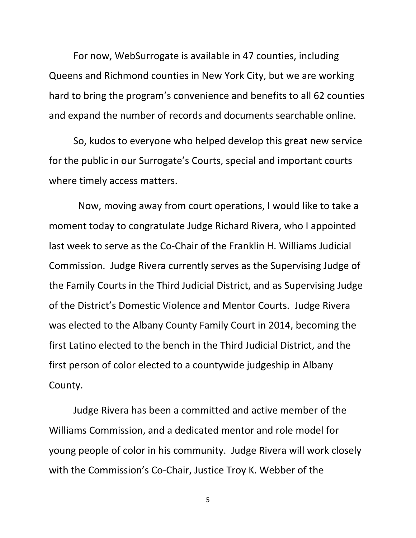For now, WebSurrogate is available in 47 counties, including Queens and Richmond counties in New York City, but we are working hard to bring the program's convenience and benefits to all 62 counties and expand the number of records and documents searchable online.

So, kudos to everyone who helped develop this great new service for the public in our Surrogate's Courts, special and important courts where timely access matters.

Now, moving away from court operations, I would like to take a moment today to congratulate Judge Richard Rivera, who I appointed last week to serve as the Co-Chair of the Franklin H. Williams Judicial Commission. Judge Rivera currently serves as the Supervising Judge of the Family Courts in the Third Judicial District, and as Supervising Judge of the District's Domestic Violence and Mentor Courts. Judge Rivera was elected to the Albany County Family Court in 2014, becoming the first Latino elected to the bench in the Third Judicial District, and the first person of color elected to a countywide judgeship in Albany County.

Judge Rivera has been a committed and active member of the Williams Commission, and a dedicated mentor and role model for young people of color in his community. Judge Rivera will work closely with the Commission's Co-Chair, Justice Troy K. Webber of the